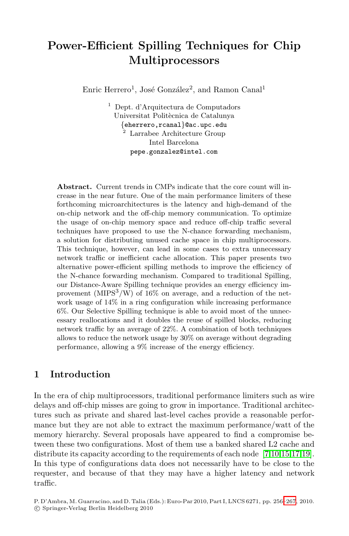# **Power-Efficient Spilling Techniques for Chip Multiprocessors**

Enric Herrero<sup>1</sup>, José González<sup>2</sup>, and Ramon Canal<sup>1</sup>

<sup>1</sup> Dept. d'Arquitectura de Computadors Universitat Politècnica de Catalunya<br>{eherrero,rcanal}@ac.upc.edu <sup>2</sup> Larrabee Architecture Group Intel Barcelona pepe.gonzalez@intel.com

**Abstract.** Current trends in CMPs indicate that the core count will increase in the near future. One of the main performance limiters of these forthcoming microarchitectures is the latency and high-demand of the on-chip network and the off-chip memory communication. To optimize the usage of on-chip memory space and reduce off-chip traffic several techniques have proposed to use the N-chance forwarding mechanism, a solution for distributing unused cache space in chip multiprocessors. This technique, however, can lead in some cases to extra unnecessary network traffic or inefficient cache allocation. This paper presents two alternative power-efficient spilling methods to improve the efficiency of the N-chance forwarding mechanism. Compared to traditional Spilling, our Distance-Aware Spilling technique provides an energy efficiency improvement  $(MIPS<sup>3</sup>/W)$  of 16% on average, and a reduction of the network usage of 14% in a ring configuration while increasing performance 6%. Our Selective Spilling technique is able to avoid most of the unnecessary reallocations and it doubles the reuse of spilled blocks, reducing network traffic by an average of 22%. A combination of both techniques allows to reduce the network usage by 30% on average without degrading performance, allowing a 9% increase of the energy efficiency.

# **1 Introduction**

In the era of chip multiprocessors, traditional performance limiters such as wire delays and off-chip misses are going to grow in importance. Traditional architectures such as private and shared last-level caches provide a reasonable performance but they are not able to extract the maxim[um p](#page-11-0)erformance/watt of the memory hierarchy. Several proposals have appeared to find a compromise between these two configurations. Most of them use a banked shared L2 cache and distribute its capacity according to the requirements of each node [7,10,15,17,19]. In this type of configurations data does not necessarily have to be close to the requester, and because of that they may have a higher latency and network traffic.

P. D'Ambra, M. Guarracino, and D. Talia (Eds.): Euro-Par 2010, Part I, LNCS 6271, pp. 256–267, 2010. -c Springer-Verlag Berlin Heidelberg 2010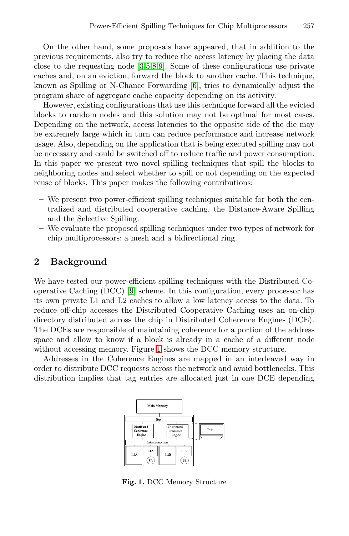On the other hand, some proposals have appeared, that in addition to the previous requirements, also try to reduce the access latency by placing the data close to the requesting node [3,5,8,9]. Some of these configurations use private caches and, on an eviction, forward the block to another cache. This technique, known as Spilling or N-Chance Forwarding [6], tries to dynamically adjust the program share of aggregate cache capacity depending on its activity.

However, existing configurations that use this technique forward all the evicted blocks to random nodes and this solution may not be optimal for most cases. Depending on the network, access latencies to the opposite side of the die may be extremely large which in turn can reduce performance and increase network usage. Also, depending on the application that is being executed spilling may not be necessary and could be switched off to reduce traffic and power consumption. In this paper we present two novel spilling techniques that spill the blocks to neighboring nodes and select whether to spill or not depending on the expected reuse of blocks. This paper makes the following contributions:

- **–** We present two power-efficient spilling techniques suitable for both the centralized and distributed cooperative caching, the Distance-Aware Spilling and [th](#page-11-1)e Selective Spilling.
- **–** We evaluate the proposed spilling techniques under two types of network for chip multiprocessors: a mesh and a bidirectional ring.

# **2 Background**

We have tested [o](#page-1-0)ur power-efficient spilling techniques with the Distributed Cooperative Caching (DCC) [9] scheme. In this configuration, every processor has its own private L1 and L2 caches to allow a low latency access to the data. To reduce off-chip accesses the Distributed Cooperative Caching uses an on-chip directory distributed across the chip in Distributed Coherence Engines (DCE). The DCEs are responsible of maintaining coherence for a portion of the address space and allow to know if a block is already in a cache of a different node without accessing memory. Figure 1 shows the DCC memory structure.

Addresses in the Coherence Engines are mapped in an interleaved way in order to distribute DCC requests across the network and avoid bottlenecks. This distribution implies that tag entries are allocated just in one DCE depending

<span id="page-1-0"></span>

**Fig. 1.** DCC Memory Structure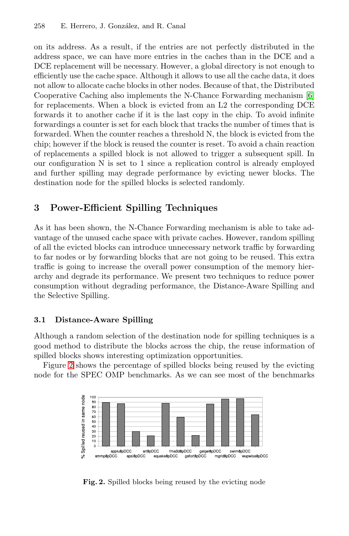on its address. As a result, if the entries are not perfectly distributed in the address space, we can have more entries in the caches than in the DCE and a DCE replacement will be necessary. However, a global directory is not enough to efficiently use the cache space. Although it allows to use all the cache data, it does not allow to allocate cache blocks in other nodes. Because of that, the Distributed Cooperative Caching also implements the N-Chance Forwarding mechanism [6] for replacements. When a block is evicted from an L2 the corresponding DCE forwards it to another cache if it is the last copy in the chip. To avoid infinite forwardings a counter is set for each block that tracks the number of times that is forwarded. When the counter reaches a threshold N, the block is evicted from the chip; however if the block is reused the counter is reset. To avoid a chain reaction of replacements a spilled block is not allowed to trigger a subsequent spill. In our configuration N is set to 1 since a replication control is already employed and further spilling may degrade performance by evicting newer blocks. The destination node for the spilled blocks is selected randomly.

# **3 Power-Efficient Spilling Techniques**

As it has been shown, the N-Chance Forwarding mechanism is able to take advantage of the unused cache space with private caches. However, random spilling of all the evicted blocks can introduce unnecessary network traffic by forwarding to far nodes or by forwarding blocks that are not going to be reused. This extra traffic is going to increase the overall power consumption of the memory hierarchy and degrade its performance. We present two techniques to reduce power consumption without degrading performance, the Distance-Aware Spilling and the Selective Spilling.

# **3.1 Distance-Aware Spilling**

Although a random selection of the destination node for spilling techniques is a good method to distribute the blocks across the chip, the reuse information of spilled blocks shows interesting optimization opportunities.

Figure 2 shows the percentage of spilled blocks being reused by the evicting node for the SPEC OMP benchmarks. As we can see most of the benchmarks



**Fig. 2.** Spilled blocks being reused by the evicting node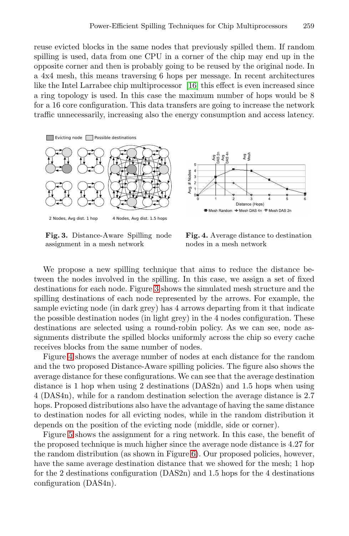reuse evicted blocks in the same nodes that previously spilled them. If random spilling is used, data from one CPU in a corner of the chip may end up in the opposite corner and then is probably going to be reused by the original node. In a 4x4 mesh, this means traversing 6 hops per message. In recent architectures like the Intel Larrabee chip multiprocessor [16] this effect is even increased since a ring topology is used. In this case the maximum number of hops would be 8 for a 16 core configuration. This data transfers are going to increase the network traffic unnecessarily, increasing also the energy consumption and access latency.

<span id="page-3-0"></span>

**Fig. 3.** Distance-Aware Spilling node assignment in a mesh network

**Fig. 4.** Average distance to destination nodes in a mesh network

We propose a new spilling technique that aims to reduce the distance between the nodes involved in the spilling. In this case, we assign a set of fixed destinations for each node. Figure 3 shows the simulated mesh structure and the spilling destinations of each node represented by the arrows. For example, the sample evicting node (in dark grey) has 4 arrows departing from it that indicate the possible destination nodes (in light grey) in the 4 nodes configuration. These destinations are selected using a round-robin policy. As we can see, node assignments distribute the spilled blocks uniformly across the chip so every cache receives blocks from the same number of nodes.

Figure 4 shows the average number of nodes at each distance for the random and the two proposed Distance-Aware spilling policies. The figure also shows the average distance for these [co](#page-4-0)nfigurations. We can see that the average destination distance is 1 hop when using 2 destinations (DAS2n) and 1.5 hops when using 4 (DAS4n), while for a random destination selection the average distance is 2.7 hops. Proposed distributions also have the advantage of having the same distance to destination nodes for all evicting nodes, while in the random distribution it depends on the position of the evicting node (middle, side or corner).

Figure 5 shows the assignment for a ring network. In this case, the benefit of the proposed technique is much higher since the average node distance is 4.27 for the random distribution (as shown in Figure 6). Our proposed policies, however, have the same average destination distance that we showed for the mesh; 1 hop for the 2 destinations configuration (DAS2n) and 1.5 hops for the 4 destinations configuration (DAS4n).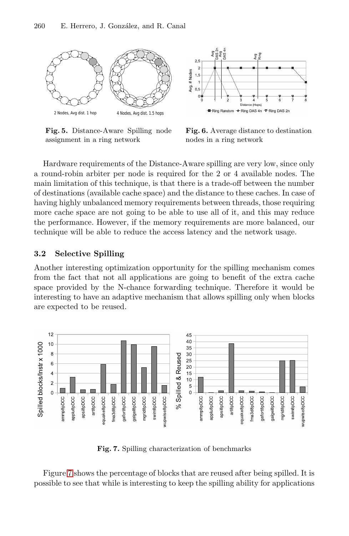

**Fig. 5.** Distance-Aware Spilling node assignment in a ring network

<span id="page-4-0"></span>**Fig. 6.** Average distance to destination nodes in a ring network

Hardware requirements of the Distance-Aware spilling are very low, since only a round-robin arbiter per node is required for the 2 or 4 available nodes. The main limitation of this technique, is that there is a trade-off between the number of destinations (available cache space) and the distance to these caches. In case of having highly unbalanced memory requirements between threads, those requiring more cache space are not going to be able to use all of it, and this may reduce the performance. However, if the memory requirements are more balanced, our technique will be able to reduce the access latency and the network usage.

# **3.2 Selective Spilling**

Another interesting optimization opportunity for the spilling mechanism comes from the fact that not all applications are going to benefit of the extra cache space provided by the N-chance forwarding technique. Therefore it would be interesting to have an adaptive mechanism that allows spilling only when blocks are expected to be reused.



**Fig. 7.** Spilling characterization of benchmarks

Figure 7 shows the percentage of blocks that are reused after being spilled. It is possible to see that while is interesting to keep the spilling ability for applications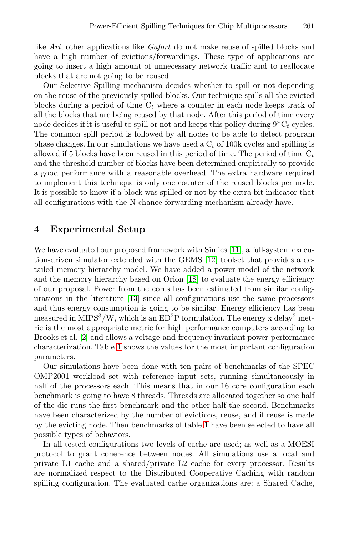like *Art*, other applications like *Gafort* do not make reuse of spilled blocks and have a high number of evictions/forwardings. These type of applications are going to insert a high amount of unnecessary network traffic and to reallocate blocks that are not going to be reused.

Our Selective Spilling mechanism decides whether to spill or not depending on the reuse of the previously spilled blocks. Our technique spills all the evicted blocks during a period of time  $C_t$  where a counter in each node keeps track of all the blocks that are being reused by that node. After this period of time every node decides if it is useful to spill or not and keeps this policy during 9\*C*<sup>t</sup>* cycles. The common spill period is followed by all nodes to be able to detect program phase changes. In our simulations we have used a C*<sup>t</sup>* of 100k cycles and spilling is allowed if 5 blocks have been reused in this period of time. The period of time C*<sup>t</sup>* and the threshold number of blocks have been determined empirically to provide a good performance with a reasona[ble](#page-11-2) overhead. The extra hardware required to implement this technique i[s o](#page-11-3)nly one counter of the reused blocks per node. It is possible to know if a block was spilled or not by the extra bit indicator that all configurations with t[he N](#page-11-4)-chance forwarding mechanism already have.

## **4 E[xpe](#page-11-5)rimental Setup**

We have evaluated our proposed framework with Simics [11], a full-system execution-driven simulator extended with the GEMS [12] toolset that provides a detail[ed](#page-6-0) memory hierarchy model. We have added a power model of the network and the memory hierarchy based on Orion [18] to evaluate the energy efficiency of our proposal. Power from the cores has been estimated from similar configurations in the literature [13] since all configurations use the same processors and thus energy consumption is going to be similar. Energy efficiency has been measured in MIPS<sup>3</sup>/W, which is an ED<sup>2</sup>P formulation. The energy x delay<sup>2</sup> metric is the most appropriate metric for high performance computers according to Brooks et al. [2] and allows a voltage-and-frequency invariant power-performance characterization. Table 1 sho[ws](#page-6-0) the values for the most important configuration parameters.

Our simulations have been done with ten pairs of benchmarks of the SPEC OMP2001 workload set with reference input sets, running simultaneously in half of the processors each. This means that in our 16 core configuration each benchmark is going to have 8 threads. Threads are allocated together so one half of the die runs the first benchmark and the other half the second. Benchmarks have been characterized by the number of evictions, reuse, and if reuse is made by the evicting node. Then benchmarks of table 1 have been selected to have all possible types of behaviors.

In all tested configurations two levels of cache are used; as well as a MOESI protocol to grant coherence between nodes. All simulations use a local and private L1 cache and a shared/private L2 cache for every processor. Results are normalized respect to the Distributed Cooperative Caching with random spilling configuration. The evaluated cache organizations are; a Shared Cache,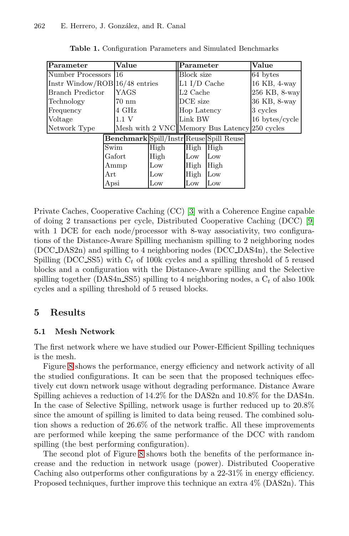| Parameter                        | Value            |      | Parameter      |                                               | Value            |
|----------------------------------|------------------|------|----------------|-----------------------------------------------|------------------|
| Number Processors                | 16               |      | Block size     |                                               | 64 bytes         |
| Instr Window/ROB $16/48$ entries |                  |      | $L1$ I/D Cache |                                               | 16 KB, 4-way     |
| Branch Predictor                 | YAGS             |      | $L2$ Cache     |                                               | 256 KB, 8-way    |
| Technology                       | $70~\mathrm{nm}$ |      | DCE size       |                                               | 36 KB, 8-way     |
| Frequency                        | 4 GHz            |      | Hop Latency    |                                               | 3 cycles         |
| Voltage                          | 1.1V             |      | Link BW        |                                               | $16$ bytes/cycle |
| Network Type                     |                  |      |                | Mesh with 2 VNC Memory Bus Latency 250 cycles |                  |
|                                  |                  |      |                | Benchmark Spill/Instr Reuse Spill Reuse       |                  |
| Swim                             |                  | High | High           | High                                          |                  |
|                                  | Gafort           | High | Low            | Low                                           |                  |
|                                  | Ammp             | Low  | High           | High                                          |                  |
| Art                              |                  | Low  | High           | Low                                           |                  |
| Apsi                             |                  | Low  | Low            | Low                                           |                  |

<span id="page-6-0"></span>**Table 1.** Configuration Parameters and Simulated Benchmarks

Private Caches, Cooperative Caching (CC) [3] with a Coherence Engine capable of doing 2 transactions per cycle, Distributed Cooperative Caching (DCC) [9] with 1 DCE for each node/processor with 8-way associativity, two configurations of the Distance-Aware Spilling mechanism spilling to 2 neighboring nodes (DCC DAS2n) and spilling to 4 neighboring nodes (DCC DAS4n), the Selective Spilling (DCC SS5) with C*<sup>t</sup>* of 100k cycles and a spilling threshold of 5 reused blocks and a configuration with the Distance-Aware spilling and the Selective spilling together (DAS4n SS5) spilling to 4 neighboring nodes, a C*<sup>t</sup>* of also 100k cycles and a spilling threshold of 5 reused blocks.

### **5 Results**

The first network where we have studied our Power-Efficient Spilling techniques is the mesh.

Figure 8 shows the performance, energy efficiency and network activity of all the studie[d](#page-7-0) configurations. It can be seen that the proposed techniques effectively cut down network usage without degrading performance. Distance Aware Spilling achieves a reduction of 14.2% for the DAS2n and 10.8% for the DAS4n. In the case of Selective Spilling, network usage is further reduced up to 20.8% since the amount of spilling is limited to data being reused. The combined solution shows a reduction of 26.6% of the network traffic. All these improvements are performed while keeping the same performance of the DCC with random spilling (the best performing configuration).

The second plot of Figure 8 shows both the benefits of the performance increase and the reduction in network usage (power). Distributed Cooperative Caching also outperforms other configurations by a 22-31% in energy efficiency. Proposed techniques, further improve this technique an extra 4% (DAS2n). This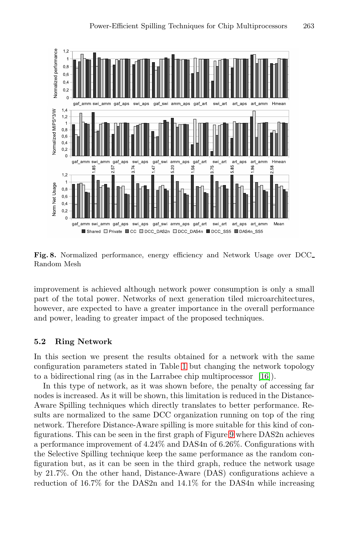

<span id="page-7-0"></span>**Fig. 8.** Normalized performance, energy efficiency and Network Usage over DCC Random Mesh

improvement is achiev[ed](#page-6-0) although network power consumption is only a small part of the total power. Networks of next g[ene](#page-11-6)ration tiled microarchitectures, however, are expected to have a greater importance in the overall performance and power, leading to greater impact of the proposed techniques.

#### **5.2 Ring Network**

In this section we present the res[ults](#page-8-0) obtained for a network with the same configuration parameters stated in Table 1 but changing the network topology to a bidirectional ring (as in the Larrabee chip multiprocessor [16]).

In this type of network, as it was shown before, the penalty of accessing far nodes is increased. As it will be shown, this limitation is reduced in the Distance-Aware Spilling techniques which directly translates to better performance. Results are normalized to the same DCC organization running on top of the ring network. Therefore Distance-Aware spilling is more suitable for this kind of configurations. This can be seen in the first graph of Figure 9 where DAS2n achieves a performance improvement of 4.24% and DAS4n of 6.26%. Configurations with the Selective Spilling technique keep the same performance as the random configuration but, as it can be seen in the third graph, reduce the network usage by 21.7%. On the other hand, Distance-Aware (DAS) configurations achieve a reduction of 16.7% for the DAS2n and 14.1% for the DAS4n while increasing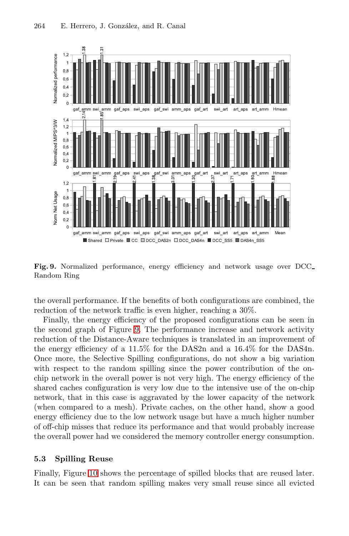

<span id="page-8-0"></span>**Fig. 9.** Normalized performance, energy efficiency and network usage over DCC Random Ring

the overall performance. If the benefits of both configurations are combined, the reduction of the network traffic is even higher, reaching a 30%.

Finally, the energy efficiency of the proposed configurations can be seen in the second graph of Figure 9. The performance increase and network activity reduction of the Distance-Aware techniques is translated in an improvement of the energy efficiency of a 11.5% for the DAS2n and a 16.4% for the DAS4n. Once more, the Selective Spilling configurations, do not show a big variation with respect to the random spilling since the power contribution of the onchip network in the overall power is not very high. The energy efficiency of the shared caches configuration is very low due to the intensive use of the on-chip network, that in this case is aggravated by the lower capacity of the network (when compared to a mesh). Private caches, on the other hand, show a good energy efficiency due to the low network usage but have a much higher number of off-chip misses that reduce its performance and that would probably increase the overall power had we considered the memory controller energy consumption.

#### **5.3 Spilling Reuse**

Finally, Figure 10 shows the percentage of spilled blocks that are reused later. It can be seen that random spilling makes very small reuse since all evicted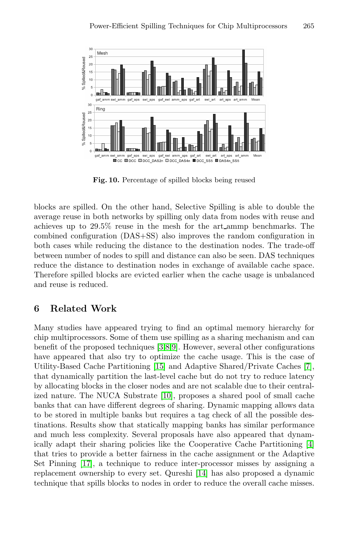

**Fig. 10.** Percentage of spilled blocks being reused

blocks are spilled. On the other hand, Selective Spilling is able to double the average reuse in both networks by spilling only data from nodes with reuse and achieves up to 29.5% reuse in the mesh for the art ammp benchmarks. The combined configuration (DAS+SS) also improves the random configuration in both cases while reducing the distance to the destination nodes. The trade-off between number of nodes to spill and distance can also be seen. DAS techniques reduce the distance to destination nodes in exchange of available cache space. Therefore spille[d](#page-10-0) [bl](#page-11-7)[oc](#page-11-1)ks are evicted earlier when the cache usage is unbalanced and reuse is re[duc](#page-11-8)ed.

## **6 Related Work**

Many studies ha[ve](#page-11-9) appeared trying to find an optimal memory hierarchy for chip multiprocessors. Some of them use spilling as a sharing mechanism and can benefit of the proposed techniques [3,8,9]. However, several other configurations have appeared that also try to optimize the cache usage. This is the case of Utility-Based Cache Partitioning [15] and Adaptive Share[d/](#page-11-10)Private Caches [7], that dynamically partition the last-level cache but do not try to reduce latency by allocating blocks in the closer nodes and are not scalable due to their centralized nature. The NUCA S[ubs](#page-11-11)trate [10], proposes a shared pool of small cache banks that can have different degrees of sharing. Dynamic mapping allows data to be stored in multiple banks but requires a tag check of all the possible destinations. Results show that statically mapping banks has similar performance and much less complexity. Several proposals have also appeared that dynamically adapt their sharing policies like the Cooperative Cache Partitioning [4] that tries to provide a better fairness in the cache assignment or the Adaptive Set Pinning [17], a technique to reduce inter-processor misses by assigning a replacement ownership to every set. Qureshi [14] has also proposed a dynamic technique that spills blocks to nodes in order to reduce the overall cache misses.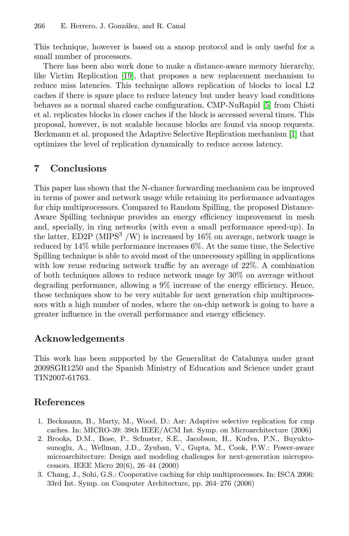This technique, however is based on a snoop protocol and is only useful for a small number of processors.

There has been also work done to make a distance-aware memory hierarchy, like Victim Replication [19], that proposes a new replacement mechanism to reduce miss latencies. This technique allows replication of blocks to local L2 caches if there is spare place to reduce latency but under heavy load conditions behaves as a normal shared cache configuration. CMP-NuRapid [5] from Chisti et al. replicates blocks in closer caches if the block is accessed several times. This proposal, however, is not scalable because blocks are found via snoop requests. Beckmann et al. proposed the Adaptive Selective Replication mechanism [1] that optimizes the level of replication dynamically to reduce access latency.

## **7 Conclusions**

This paper has shown that the N-chance forwarding mechanism can be improved in terms of power and network usage while retaining its performance advantages for chip multiprocessors. Compared to Random Spilling, the proposed Distance-Aware Spilling technique provides an energy efficiency improvement in mesh and, specially, in ring networks (with even a small performance speed-up). In the latter, ED2P (MIPS<sup>3</sup> /W) is increased by 16% on average, network usage is reduced by 14% while performance increases 6%. At the same time, the Selective Spilling technique is able to avoid most of the unnecessary spilling in applications with low reuse reducing network traffic by an average of 22%. A combination of both techniques allows to reduce network usage by 30% on average without degrading performance, allowing a 9% increase of the energy efficiency. Hence, these techniques show to be very suitable for next generation chip multiprocessors with a high number of nodes, where the on-chip network is going to have a greater influence in the overall performance and energy efficiency.

#### **Acknowledgements**

This work has been supported by the Generalitat de Catalunya under grant 2009SGR1250 and the Spanish Ministry of Education and Science under grant TIN2007-61763.

# <span id="page-10-0"></span>**References**

- 1. Beckmann, B., Marty, M., Wood, D.: Asr: Adaptive selective replication for cmp caches. In: MICRO-39: 39th IEEE/ACM Int. Symp. on Microarchitecture (2006)
- 2. Brooks, D.M., Bose, P., Schuster, S.E., Jacobson, H., Kudva, P.N., Buyuktosunoglu, A., Wellman, J.D., Zyuban, V., Gupta, M., Cook, P.W.: Power-aware microarchitecture: Design and modeling challenges for next-generation microprocessors. IEEE Micro 20(6), 26–44 (2000)
- 3. Chang, J., Sohi, G.S.: Cooperative caching for chip multiprocessors. In: ISCA 2006: 33rd Int. Symp. on Computer Architecture, pp. 264–276 (2006)